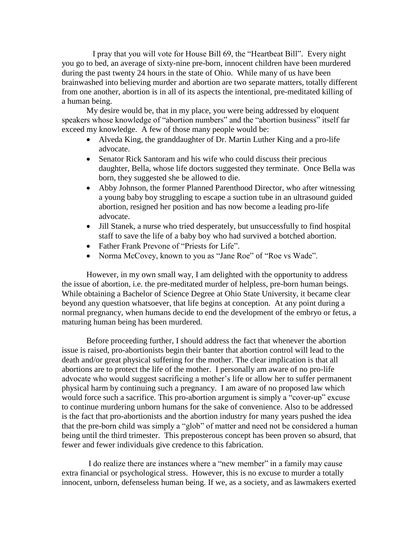I pray that you will vote for House Bill 69, the "Heartbeat Bill". Every night you go to bed, an average of sixty-nine pre-born, innocent children have been murdered during the past twenty 24 hours in the state of Ohio. While many of us have been brainwashed into believing murder and abortion are two separate matters, totally different from one another, abortion is in all of its aspects the intentional, pre-meditated killing of a human being.

My desire would be, that in my place, you were being addressed by eloquent speakers whose knowledge of "abortion numbers" and the "abortion business" itself far exceed my knowledge. A few of those many people would be:

- Alveda King, the granddaughter of Dr. Martin Luther King and a pro-life advocate.
- Senator Rick Santoram and his wife who could discuss their precious daughter, Bella, whose life doctors suggested they terminate. Once Bella was born, they suggested she be allowed to die.
- Abby Johnson, the former Planned Parenthood Director, who after witnessing a young baby boy struggling to escape a suction tube in an ultrasound guided abortion, resigned her position and has now become a leading pro-life advocate.
- Jill Stanek, a nurse who tried desperately, but unsuccessfully to find hospital staff to save the life of a baby boy who had survived a botched abortion.
- Father Frank Prevone of "Priests for Life".
- Norma McCovey, known to you as "Jane Roe" of "Roe vs Wade".

However, in my own small way, I am delighted with the opportunity to address the issue of abortion, i.e. the pre-meditated murder of helpless, pre-born human beings. While obtaining a Bachelor of Science Degree at Ohio State University, it became clear beyond any question whatsoever, that life begins at conception. At any point during a normal pregnancy, when humans decide to end the development of the embryo or fetus, a maturing human being has been murdered.

Before proceeding further, I should address the fact that whenever the abortion issue is raised, pro-abortionists begin their banter that abortion control will lead to the death and/or great physical suffering for the mother. The clear implication is that all abortions are to protect the life of the mother. I personally am aware of no pro-life advocate who would suggest sacrificing a mother's life or allow her to suffer permanent physical harm by continuing such a pregnancy. I am aware of no proposed law which would force such a sacrifice. This pro-abortion argument is simply a "cover-up" excuse to continue murdering unborn humans for the sake of convenience. Also to be addressed is the fact that pro-abortionists and the abortion industry for many years pushed the idea that the pre-born child was simply a "glob" of matter and need not be considered a human being until the third trimester. This preposterous concept has been proven so absurd, that fewer and fewer individuals give credence to this fabrication.

I do realize there are instances where a "new member" in a family may cause extra financial or psychological stress. However, this is no excuse to murder a totally innocent, unborn, defenseless human being. If we, as a society, and as lawmakers exerted